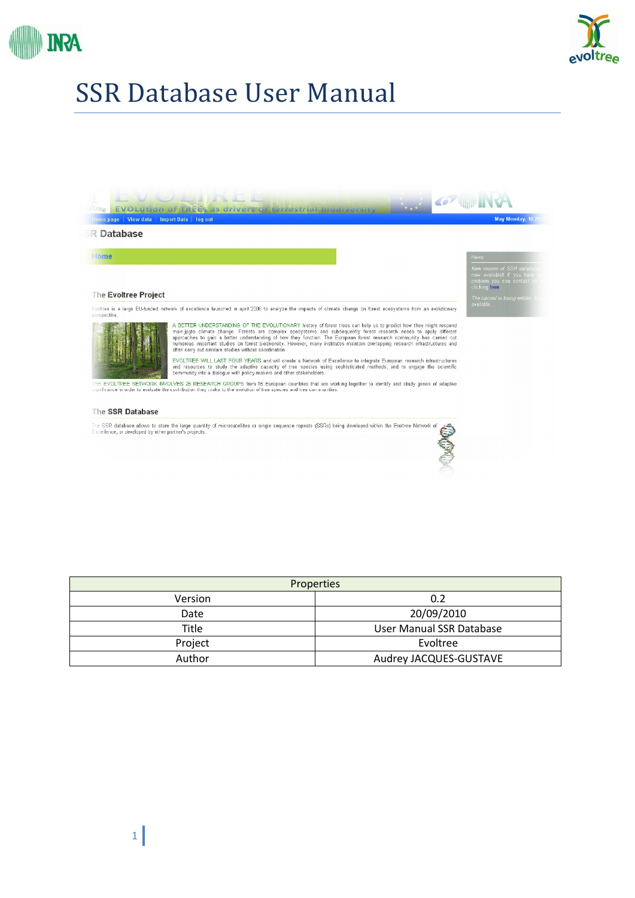



# SSR Database User Manual

| <b>SR Database</b><br>$\exists$ ome<br>News:<br>A BETTER UNDERSTANDING OF THE EVOLUTIONARY history of forest trees can help us to predict how they might respond<br>main installation abansa. Foreste are complex accountance and oubcompative forest recorred noods to analy different | May Monday, 10 201 |
|-----------------------------------------------------------------------------------------------------------------------------------------------------------------------------------------------------------------------------------------------------------------------------------------|--------------------|
|                                                                                                                                                                                                                                                                                         |                    |
|                                                                                                                                                                                                                                                                                         |                    |
|                                                                                                                                                                                                                                                                                         |                    |
|                                                                                                                                                                                                                                                                                         |                    |
| significance in order to evaluate the commoditor they make to the evolution or nee species and nee commitmes.                                                                                                                                                                           |                    |
|                                                                                                                                                                                                                                                                                         |                    |
|                                                                                                                                                                                                                                                                                         |                    |
|                                                                                                                                                                                                                                                                                         |                    |
|                                                                                                                                                                                                                                                                                         |                    |
|                                                                                                                                                                                                                                                                                         |                    |
|                                                                                                                                                                                                                                                                                         |                    |
|                                                                                                                                                                                                                                                                                         |                    |

|              | Properties               |
|--------------|--------------------------|
| Version      | 0.2                      |
| Date         | 20/09/2010               |
| <b>Title</b> | User Manual SSR Database |
| Project      | Evoltree                 |
| Author       | Audrey JACQUES-GUSTAVE   |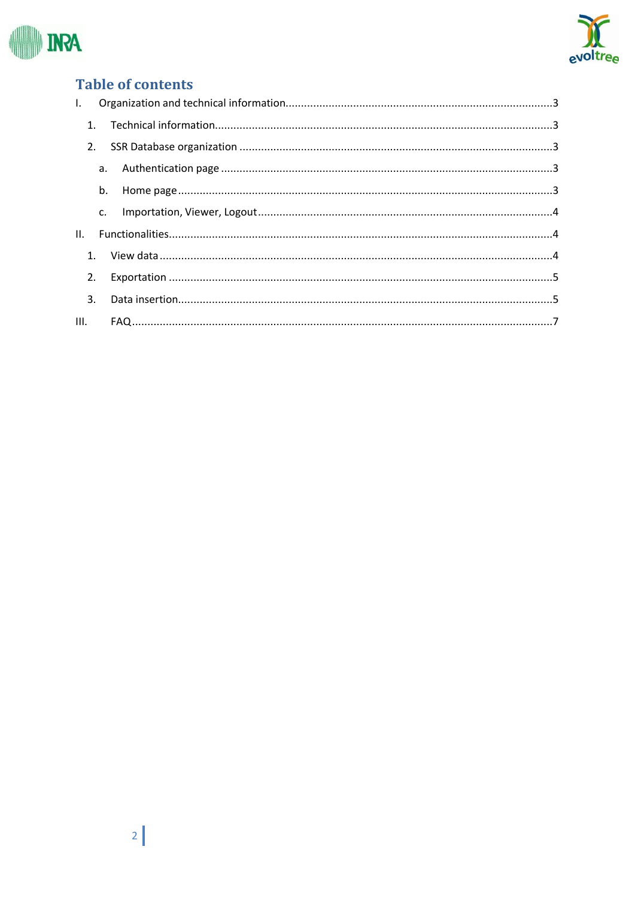



# **Table of contents**

| L.   |    |  |
|------|----|--|
|      | 1. |  |
|      | 2. |  |
|      | a. |  |
|      | b. |  |
|      | c. |  |
| II.  |    |  |
|      |    |  |
|      | 2. |  |
|      | 3. |  |
| III. |    |  |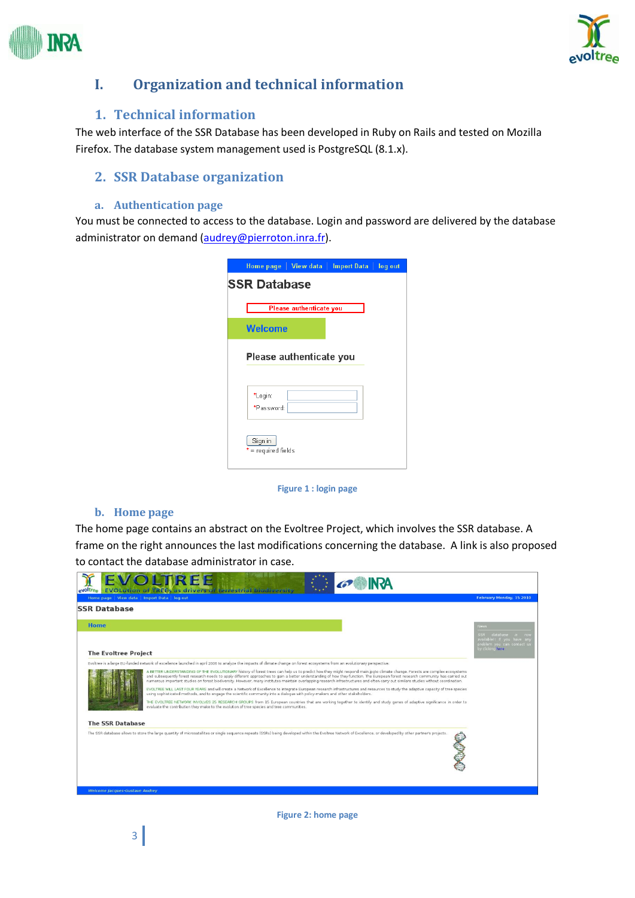



# **I. Organization and technical information**

# **1. Technical information**

The web interface of the SSR Database has been developed in Ruby on Rails and tested on Mozilla Firefox. The database system management used is PostgreSQL (8.1.x).

# **2. SSR Database organization**

### **a. Authentication page**

You must be connected to access to the database. Login and password are delivered by the database administrator on demand (audrey@pierroton.inra.fr).

| Home page   View data   Import Data   log out<br><b>SSR Database</b> |  |
|----------------------------------------------------------------------|--|
| Please authenticate you                                              |  |
| <b>Welcome</b>                                                       |  |
| Please authenticate you                                              |  |
|                                                                      |  |
| *Login:<br>*Password:                                                |  |
|                                                                      |  |
| Sign in<br>$*$ = required fields                                     |  |

**Figure 1 : login page**

### **b. Home page**

3

The home page contains an abstract on the Evoltree Project, which involves the SSR database. A frame on the right announces the last modifications concerning the database. A link is also proposed to contact the database administrator in case.

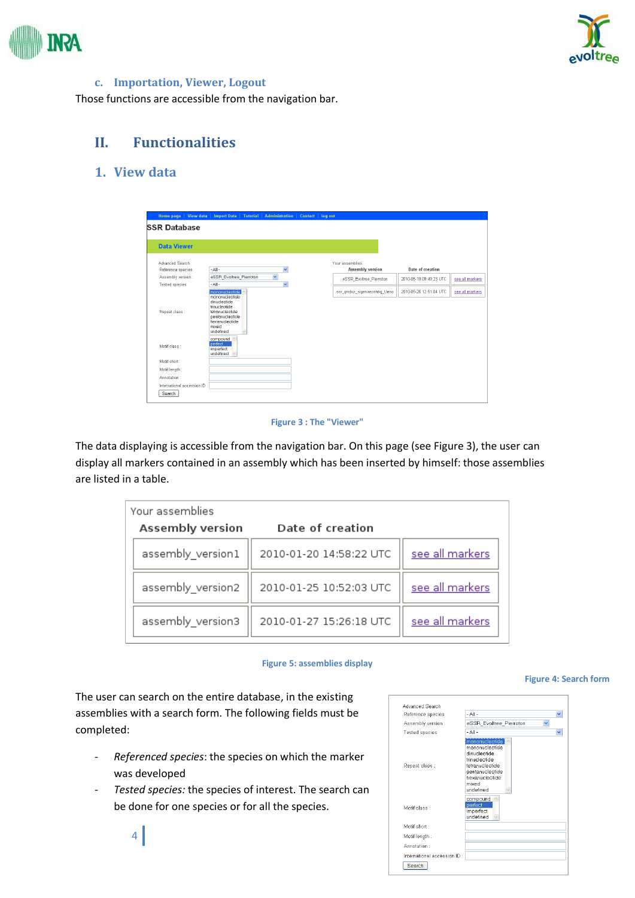



### **c. Importation, Viewer, Logout**

Those functions are accessible from the navigation bar.

# **II. Functionalities**

# **1. View data**

| Home page   View data       | Import Data                                                                   | Tutorial   Administration | Contact | log out |                               |                         |                 |
|-----------------------------|-------------------------------------------------------------------------------|---------------------------|---------|---------|-------------------------------|-------------------------|-----------------|
| <b>SSR Database</b>         |                                                                               |                           |         |         |                               |                         |                 |
| <b>Data Viewer</b>          |                                                                               |                           |         |         |                               |                         |                 |
| Advanced Search             |                                                                               |                           |         |         | Your assemblies               |                         |                 |
| Reference species           | $-A   -$                                                                      | $\overline{\mathbf{v}}$   |         |         | <b>Assembly version</b>       | Date of creation        |                 |
| Assembly version :          | eSSR_Evoltree_Pierroton                                                       | $\checkmark$              |         |         | eSSR_Evoltree_Pierroton       | 2010-05-19 09:49:23 UTC | see all markers |
| <b>Tested species</b>       | $-A   -$<br>mononucleotide<br>mononucleotide<br>dinucleotide<br>trinucleotide | $\checkmark$              |         |         | ssr grobur sigenaecontig Ueno | 2010-05-26 12:51:04 UTC | see all markers |
| Repeat class :              | tetranucleotide<br>pentanucleotide<br>hexanucleotide<br>mixed<br>undefined    |                           |         |         |                               |                         |                 |
| Motif class:                | compound<br>perfect<br>imperfect<br>undefined                                 |                           |         |         |                               |                         |                 |
| Motif short:                |                                                                               |                           |         |         |                               |                         |                 |
| Motif length:               |                                                                               |                           |         |         |                               |                         |                 |
| Annotation:                 |                                                                               |                           |         |         |                               |                         |                 |
| International accession ID: |                                                                               |                           |         |         |                               |                         |                 |
| Search                      |                                                                               |                           |         |         |                               |                         |                 |

#### **Figure 3 : The "Viewer"**

The data displaying is accessible from the navigation bar. On this page (see Figure 3), the user can display all markers contained in an assembly which has been inserted by himself: those assemblies are listed in a table.

| Your assemblies<br><b>Assembly version</b> | Date of creation        |                 |
|--------------------------------------------|-------------------------|-----------------|
| assembly version1                          | 2010-01-20 14:58:22 UTC | see all markers |
| assembly version2                          | 2010-01-25 10:52:03 UTC | see all markers |
| assembly version3                          | 2010-01-27 15:26:18 UTC | see all markers |

#### **Figure 5: assemblies display**

The user can search on the entire database, in the existing assemblies with a search form. The following fields must be completed:

- *Referenced species*: the species on which the marker was developed
- Tested species: the species of interest. The search can be done for one species or for all the species.

4



#### **Figure 4: Search form**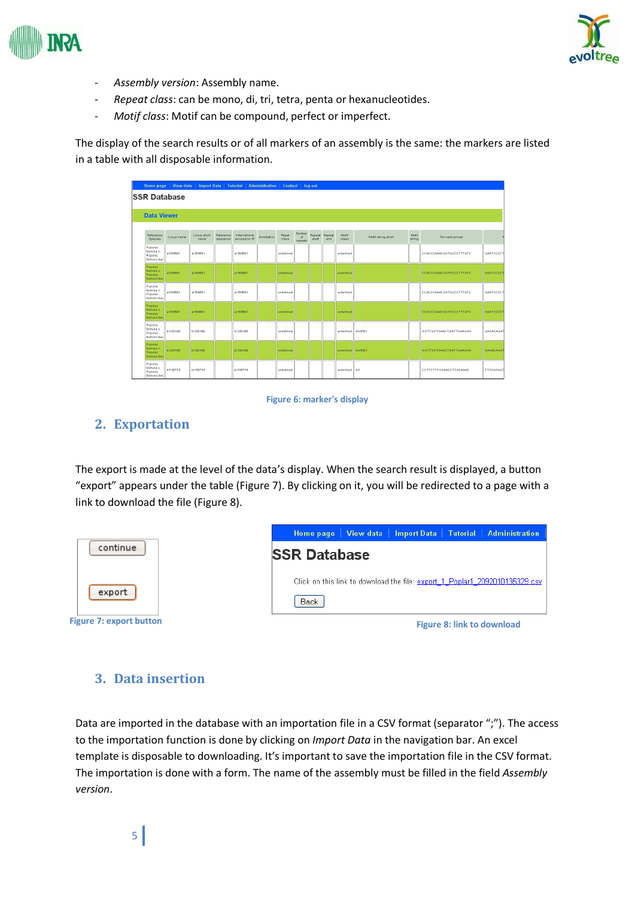



- *Assembly version*: Assembly name.
- *Repeat class*: can be mono, di, tri, tetra, penta or hexanucleotides.
- *Motif class*: Motif can be compound, perfect or imperfect.

The display of the search results or of all markers of an assembly is the same: the markers are listed in a table with all disposable information.

|                                                |            |                     |                       | Home page   View data   Import Data   Tutorial   Administration   Contact   log out |            |                |                              |                 |               |                  |                    |                 |                         |           |
|------------------------------------------------|------------|---------------------|-----------------------|-------------------------------------------------------------------------------------|------------|----------------|------------------------------|-----------------|---------------|------------------|--------------------|-----------------|-------------------------|-----------|
| <b>SSR Database</b>                            |            |                     |                       |                                                                                     |            |                |                              |                 |               |                  |                    |                 |                         |           |
|                                                |            |                     |                       |                                                                                     |            |                |                              |                 |               |                  |                    |                 |                         |           |
| <b>Data Viewer</b>                             |            |                     |                       |                                                                                     |            |                |                              |                 |               |                  |                    |                 |                         |           |
| Reference<br>Species                           | Locus name | Locus short<br>name | Reference<br>sequence | International<br>accession ID                                                       | Annotation | Repat<br>class | Number<br>$\circ$<br>repeats | Repeat<br>start | Repeat<br>end | Motif<br>olass   | Motif string short | Motif<br>string | Forward primer          |           |
| Populus<br>tremula x<br>Populus<br>tremuloides | ai164591   | ai164501            |                       | ai164601                                                                            |            | undefined      |                              |                 |               | undefined        |                    |                 | CCACCCAAACCATGCCCTTTATC | GAATCCCCT |
| Populus<br>tremula x<br>Populus<br>tremuloides | ai164591   | ai164591            |                       | ai104591                                                                            |            | undefined      |                              |                 |               | undefined        |                    |                 | CCACCCAAACCATGCCCTTTATC | GAATCCCCT |
| Populus<br>tremula x<br>Populus<br>tremuloides | ai164591   | ai164591            |                       | ai164691                                                                            |            | undefined      |                              |                 |               | undefined        |                    |                 | CCACCCAAACCATGCCCTTTATC | GAATCCCCT |
| Populus<br>tremula x<br>Populus<br>tremuloides | ai104591   | ai104591            |                       | ai164591                                                                            |            | undefined      |                              |                 |               | undefined        |                    |                 | CCACCCAAACCATGCCCTTTATC | GAATCCCCT |
| Populus<br>tremula x<br>Populus<br>tremuloides | bi128189   | bi128189            |                       | bi128189                                                                            |            | undefined      |                              |                 |               | undefined AG/REV |                    |                 | GGTTGGTGAACTGATTGAAGAG  | GAGACAGA1 |
| Populus<br>tremula x<br>Populus<br>tremuloides | bi128189   | bi128189            |                       | bi128189                                                                            |            | undefined      |                              |                 |               | undefined        | AG/REV             |                 | GGTTGGTGAACTGATTGAAGAG  | GAGACAGA1 |
| Populus<br>tremula x<br>Populus<br>tremuloides | bi135774   | bi135774            |                       | bi135774                                                                            |            | undefined      |                              |                 |               | undefined AO     |                    |                 | CCTTCTTT00AACCTCACAAAC  | TTGCAGACO |

#### **Figure 6: marker's display**

# **2. Exportation**

The export is made at the level of the data's display. When the search result is displayed, a button "export" appears under the table (Figure 7). By clicking on it, you will be redirected to a page with a link to download the file (Figure 8).

|                                | Home page   View data   Import Data   Tutorial   Administration                     |
|--------------------------------|-------------------------------------------------------------------------------------|
| continue                       | <b>SSR Database</b>                                                                 |
| export                         | Click on this link to download the file: export 1 Poplar1 2092010135329.csv<br>Back |
| <b>Figure 7: export button</b> | <b>Figure 8: link to download</b>                                                   |

# **3. Data insertion**

Data are imported in the database with an importation file in a CSV format (separator ";"). The access to the importation function is done by clicking on *Import Data* in the navigation bar. An excel template is disposable to downloading. It's important to save the importation file in the CSV format. The importation is done with a form. The name of the assembly must be filled in the field *Assembly version*.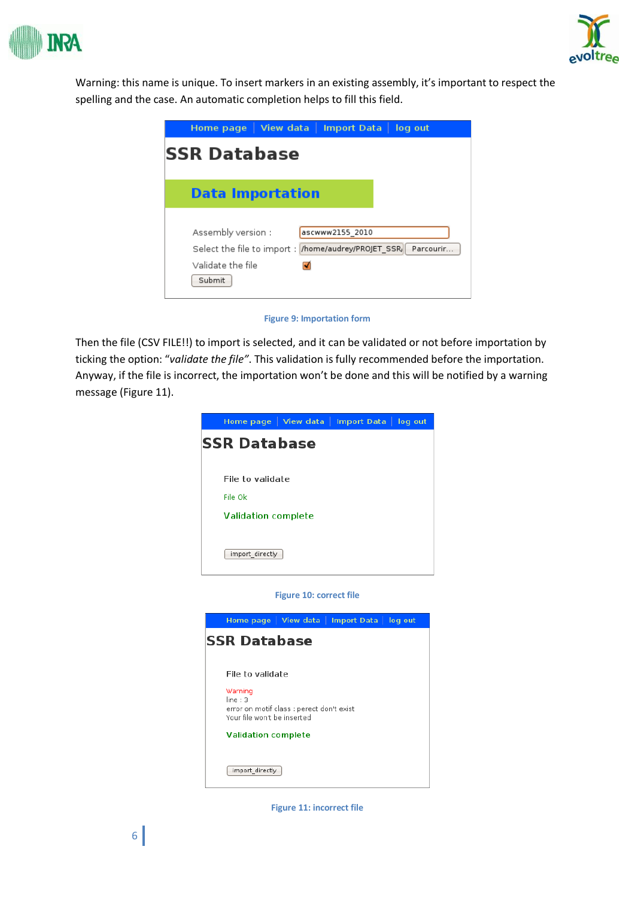



Warning: this name is unique. To insert markers in an existing assembly, it's important to respect the spelling and the case. An automatic completion helps to fill this field.

| Home page                                                                       | View data               | <b>Import Data</b>                         | log out   |
|---------------------------------------------------------------------------------|-------------------------|--------------------------------------------|-----------|
| <b>SSR Database</b>                                                             |                         |                                            |           |
|                                                                                 | <b>Data Importation</b> |                                            |           |
| Assembly version:<br>Select the file to import :<br>Validate the file<br>Submit |                         | ascwww2155 2010<br>/home/audrey/PROJET SSR | Parcourir |

**Figure 9: Importation form**

Then the file (CSV FILE!!) to import is selected, and it can be validated or not before importation by ticking the option: "*validate the file"*. This validation is fully recommended before the importation. Anyway, if the file is incorrect, the importation won't be done and this will be notified by a warning message (Figure 11).

|                     | Home page   View data      | Import Data | log out |
|---------------------|----------------------------|-------------|---------|
| <b>SSR Database</b> |                            |             |         |
|                     |                            |             |         |
|                     | File to validate           |             |         |
| File Ok             |                            |             |         |
|                     | <b>Validation complete</b> |             |         |
|                     |                            |             |         |
| import directly     |                            |             |         |
|                     |                            |             |         |
|                     |                            |             |         |

**Figure 10: correct file**



**Figure 11: incorrect file**